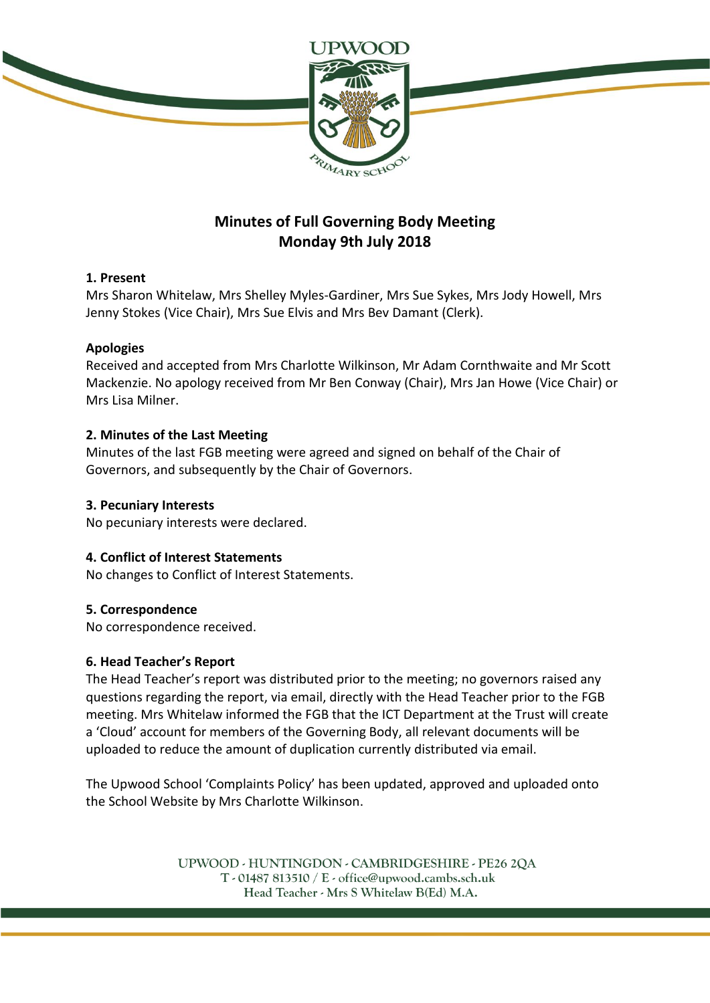

# **Minutes of Full Governing Body Meeting Monday 9th July 2018**

### **1. Present**

Mrs Sharon Whitelaw, Mrs Shelley Myles-Gardiner, Mrs Sue Sykes, Mrs Jody Howell, Mrs Jenny Stokes (Vice Chair), Mrs Sue Elvis and Mrs Bev Damant (Clerk).

## **Apologies**

Received and accepted from Mrs Charlotte Wilkinson, Mr Adam Cornthwaite and Mr Scott Mackenzie. No apology received from Mr Ben Conway (Chair), Mrs Jan Howe (Vice Chair) or Mrs Lisa Milner.

## **2. Minutes of the Last Meeting**

Minutes of the last FGB meeting were agreed and signed on behalf of the Chair of Governors, and subsequently by the Chair of Governors.

## **3. Pecuniary Interests**

No pecuniary interests were declared.

## **4. Conflict of Interest Statements**

No changes to Conflict of Interest Statements.

### **5. Correspondence**

No correspondence received.

### **6. Head Teacher's Report**

The Head Teacher's report was distributed prior to the meeting; no governors raised any questions regarding the report, via email, directly with the Head Teacher prior to the FGB meeting. Mrs Whitelaw informed the FGB that the ICT Department at the Trust will create a 'Cloud' account for members of the Governing Body, all relevant documents will be uploaded to reduce the amount of duplication currently distributed via email.

The Upwood School 'Complaints Policy' has been updated, approved and uploaded onto the School Website by Mrs Charlotte Wilkinson.

> UPWOOD - HUNTINGDON - CAMBRIDGESHIRE - PE26 2QA  $T - 01487813510 / E - 0$  office@upwood.cambs.sch.uk Head Teacher - Mrs S Whitelaw B(Ed) M.A.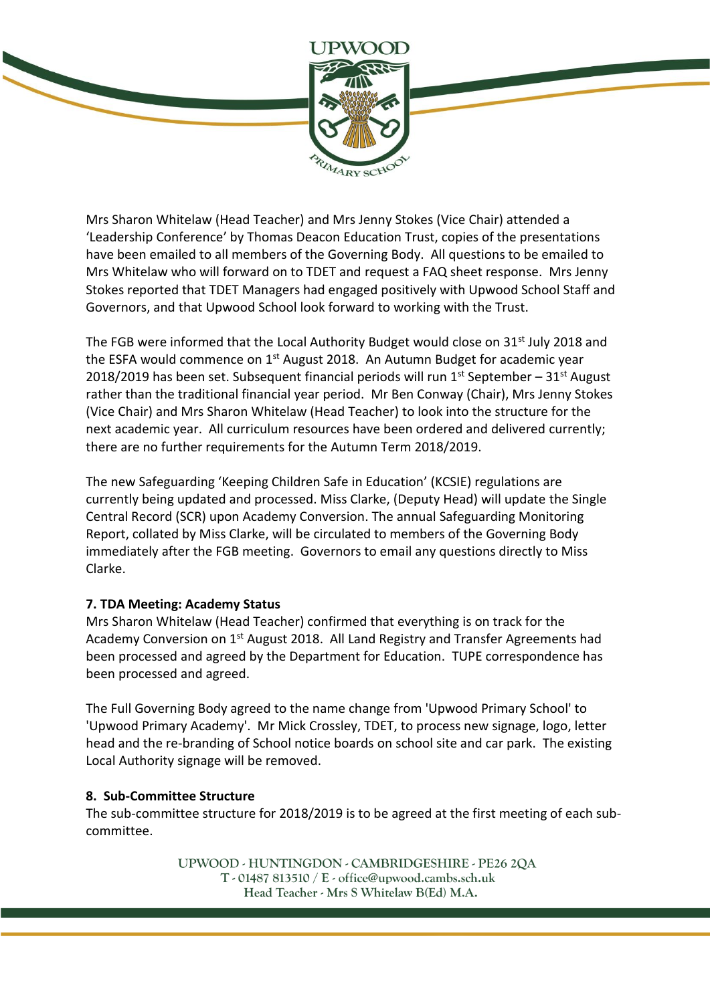

Mrs Sharon Whitelaw (Head Teacher) and Mrs Jenny Stokes (Vice Chair) attended a 'Leadership Conference' by Thomas Deacon Education Trust, copies of the presentations have been emailed to all members of the Governing Body. All questions to be emailed to Mrs Whitelaw who will forward on to TDET and request a FAQ sheet response. Mrs Jenny Stokes reported that TDET Managers had engaged positively with Upwood School Staff and Governors, and that Upwood School look forward to working with the Trust.

The FGB were informed that the Local Authority Budget would close on 31<sup>st</sup> July 2018 and the ESFA would commence on 1<sup>st</sup> August 2018. An Autumn Budget for academic year 2018/2019 has been set. Subsequent financial periods will run  $1<sup>st</sup>$  September – 31<sup>st</sup> August rather than the traditional financial year period. Mr Ben Conway (Chair), Mrs Jenny Stokes (Vice Chair) and Mrs Sharon Whitelaw (Head Teacher) to look into the structure for the next academic year. All curriculum resources have been ordered and delivered currently; there are no further requirements for the Autumn Term 2018/2019.

The new Safeguarding 'Keeping Children Safe in Education' (KCSIE) regulations are currently being updated and processed. Miss Clarke, (Deputy Head) will update the Single Central Record (SCR) upon Academy Conversion. The annual Safeguarding Monitoring Report, collated by Miss Clarke, will be circulated to members of the Governing Body immediately after the FGB meeting. Governors to email any questions directly to Miss Clarke.

### **7. TDA Meeting: Academy Status**

Mrs Sharon Whitelaw (Head Teacher) confirmed that everything is on track for the Academy Conversion on 1<sup>st</sup> August 2018. All Land Registry and Transfer Agreements had been processed and agreed by the Department for Education. TUPE correspondence has been processed and agreed.

The Full Governing Body agreed to the name change from 'Upwood Primary School' to 'Upwood Primary Academy'. Mr Mick Crossley, TDET, to process new signage, logo, letter head and the re-branding of School notice boards on school site and car park. The existing Local Authority signage will be removed.

### **8. Sub-Committee Structure**

The sub-committee structure for 2018/2019 is to be agreed at the first meeting of each subcommittee.

> UPWOOD - HUNTINGDON - CAMBRIDGESHIRE - PE26 2QA  $T - 01487813510 / E - 0$  office@upwood.cambs.sch.uk Head Teacher - Mrs S Whitelaw B(Ed) M.A.